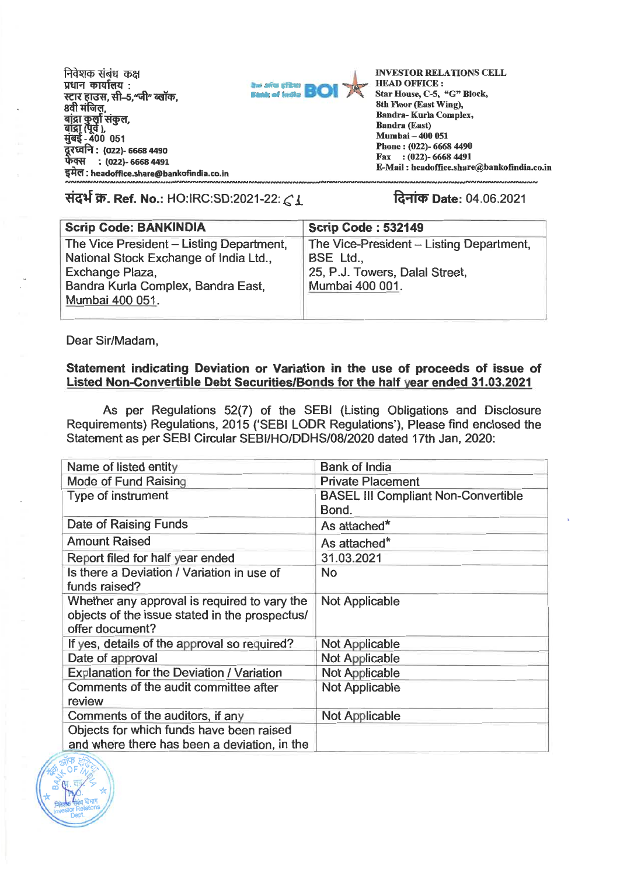निवेशक संबंध *कक्ष* **प्रधान कार्यालय:** प्रधान कार्यालय :<br>स्टार हाउस, सी–5,"जी" ब्लॉक, **8वी मंजिल,** बाद्रा कुला सकुल<br>बांद्रा (पूर्व ),<br>मुंबई <u>-</u> 400 051 **VEZA : (022)- 6668 4490 वस : (022)- 6668 4491 : headoffice.share@bankandia.co.in : (022)- 6668 4491 : headoffiee.share@bankofindia.co.in**  बांद्रा कुर्ला संकुल,<br>बांद्रा (पूर्व ),<br>मुंबई <u>-</u> 400 051 **VItc114 : (022)- 6668 4490** 



**INVESTOR RELATIONS CELL HEAD OFFICE : OFFICE :**  Star House, C-5, "G" Block, **8th Floor (East Wing), (East Wing), Bandra- Kurla Complex, Bandra (East) Mumbai — 400 051 Phone : (022)- 6668 4490 Fax : (022)- 6668 4491 Fax E-Mail : headoffice.share@bankofindia.co.in** 

संदर्भ क्र. Ref. No.: HO:IRC:SD:2021-22: *C* 1 *Date: 04.06.2021* 1 क्लिक Date: 04.06.2021

| The Vice-President - Listing Department, |
|------------------------------------------|
|                                          |

Dear Sir/Madam, Dear Sir/Madam,

## **Statement indicating Deviation or Variation in the use of proceeds of issue of**  Statement indicating Deviation or Variation in the use of proceeds of issue of **Listed Non-Convertible Debt Securities/Bonds for the half year ended 31.03.2021**  Listed Non-Convertible Debt Securities/Bonds for the half year ended 31.03.2021

As per Regulations 52(7) of the SEBI (Listing Obligations and Disclosure As per Regulations 52(7) of the SEBI (Listing Obligations and Disclosure Requirements) Regulations, 2015 (`SEBI LODR Regulations'), Please find enclosed the Requirements) Regulations, 2015 (`SEBI LODR Regulations'), Please find enclosed the Statement as per SEBI Circular SEBI/HO/DDHS/08/2020 dated 17th Jan, 2020: Statement as per SEBI Circular SEBI/HO/DDHS/08/2020 dated 17th Jan, 2020:

| Name of listed entity                          | <b>Bank of India</b>                       |
|------------------------------------------------|--------------------------------------------|
| Mode of Fund Raising                           | <b>Private Placement</b>                   |
| Type of instrument                             | <b>BASEL III Compliant Non-Convertible</b> |
|                                                | Bond.                                      |
| Date of Raising Funds                          | As attached*                               |
| <b>Amount Raised</b>                           | As attached*                               |
| Report filed for half year ended               | 31.03.2021                                 |
| Is there a Deviation / Variation in use of     | <b>No</b>                                  |
| funds raised?                                  |                                            |
| Whether any approval is required to vary the   | <b>Not Applicable</b>                      |
| objects of the issue stated in the prospectus/ |                                            |
| offer document?                                |                                            |
| If yes, details of the approval so required?   | <b>Not Applicable</b>                      |
| Date of approval                               | <b>Not Applicable</b>                      |
| Explanation for the Deviation / Variation      | <b>Not Applicable</b>                      |
| Comments of the audit committee after          | <b>Not Applicable</b>                      |
| review                                         |                                            |
| Comments of the auditors, if any               | <b>Not Applicable</b>                      |
| Objects for which funds have been raised       |                                            |
| and where there has been a deviation, in the   |                                            |

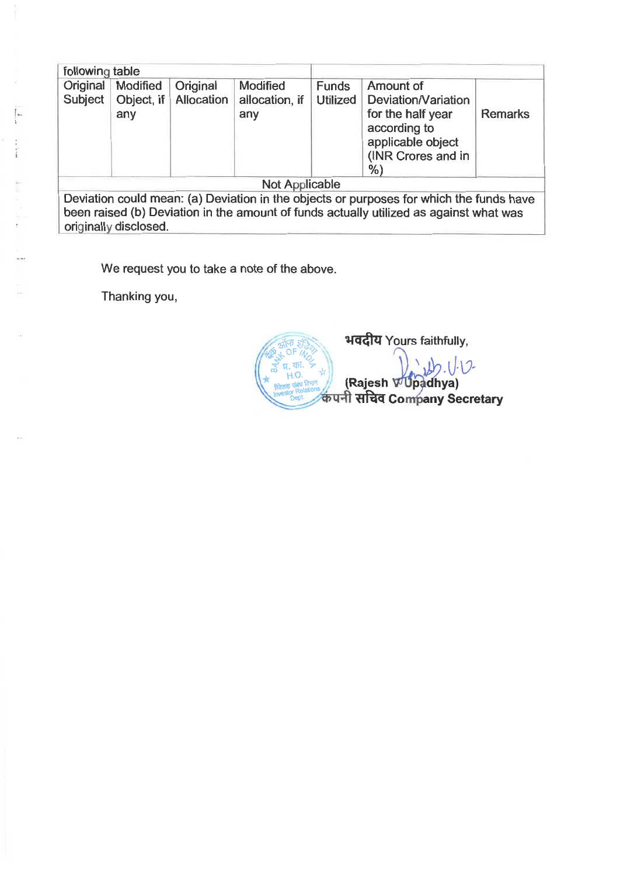| following table                                                                                                                                                                                            |                   |            |                       |                 |                                                                                                          |                |  |  |
|------------------------------------------------------------------------------------------------------------------------------------------------------------------------------------------------------------|-------------------|------------|-----------------------|-----------------|----------------------------------------------------------------------------------------------------------|----------------|--|--|
| Original                                                                                                                                                                                                   | Modified          | Original   | Modified              | <b>Funds</b>    | Amount of                                                                                                |                |  |  |
| Subject                                                                                                                                                                                                    | Object, if<br>any | Allocation | allocation, if<br>any | <b>Utilized</b> | Deviation/Variation<br>for the half year<br>according to<br>applicable object<br>(INR Crores and in<br>% | <b>Remarks</b> |  |  |
| Not Applicable                                                                                                                                                                                             |                   |            |                       |                 |                                                                                                          |                |  |  |
| Deviation could mean: (a) Deviation in the objects or purposes for which the funds have<br>been raised (b) Deviation in the amount of funds actually utilized as against what was<br>originally disclosed. |                   |            |                       |                 |                                                                                                          |                |  |  |
|                                                                                                                                                                                                            |                   |            |                       |                 |                                                                                                          |                |  |  |
| We request you to take a note of the above.                                                                                                                                                                |                   |            |                       |                 |                                                                                                          |                |  |  |
|                                                                                                                                                                                                            | Thanking you,     |            |                       |                 |                                                                                                          |                |  |  |

Thanking you,

 $\frac{1}{1}$ 

 $\label{eq:1} \frac{1}{2} \sum_{i=1}^{n} \sum_{j=1}^{n} \frac{1}{2} \sum_{i=1}^{n} \frac{1}{2} \sum_{j=1}^{n} \frac{1}{2} \sum_{j=1}^{n} \frac{1}{2} \sum_{j=1}^{n} \frac{1}{2} \sum_{j=1}^{n} \frac{1}{2} \sum_{j=1}^{n} \frac{1}{2} \sum_{j=1}^{n} \frac{1}{2} \sum_{j=1}^{n} \frac{1}{2} \sum_{j=1}^{n} \frac{1}{2} \sum_{j=1}^{n} \frac{1}{2} \sum_{j=1}^{n$ 

**---- ,, \_ 1914 ••1',.},-." • 50 F BY AND THE REAL PROPERTY** a*l• IA.Thl. -7 -0.0*  <sup>k</sup>*H.O.*  **11.0.**<br>**Agazy site any 11.0.**<br>Investor Relations **to u-fl at a Company Secretary** ITTazi Yours faithfully, 2-144174 Yours faithfully,  $\frac{4}{\sqrt{2}}\frac{4}{\sqrt{2}}\frac{1}{\sqrt{2}}$  $\begin{pmatrix} \frac{\sqrt{3}}{2} & \frac{\sqrt{3}}{2} \\ \frac{\sqrt{3}}{2} & \frac{\sqrt{3}}{2} \\ \frac{\sqrt{3}}{2} & \frac{\sqrt{3}}{2} \\ \frac{\sqrt{3}}{2} & \frac{\sqrt{3}}{2} \\ \frac{\sqrt{3}}{2} & \frac{\sqrt{3}}{2} \\ \frac{\sqrt{3}}{2} & \frac{\sqrt{3}}{2} \\ \frac{\sqrt{3}}{2} & \frac{\sqrt{3}}{2} \\ \frac{\sqrt{3}}{2} & \frac{\sqrt{3}}{2} \\ \frac{\sqrt{3}}{2} & \frac{\sqrt{3}}{2} \\ \frac{\sqrt{3}}{2} & \frac{\sqrt{$  $\frac{1}{200}$  $\mathbb{R}$  at  $\mathbb{R}$ (Rajesh **Investor Relator** Dept. कपनी सचिव Co  $19.00$ ahya) any Secretar